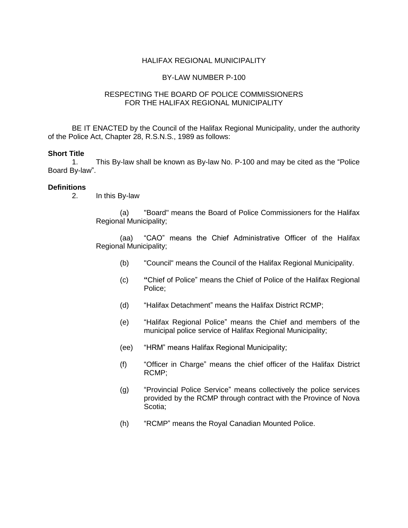### HALIFAX REGIONAL MUNICIPALITY

#### BY-LAW NUMBER P-100

### RESPECTING THE BOARD OF POLICE COMMISSIONERS FOR THE HALIFAX REGIONAL MUNICIPALITY

BE IT ENACTED by the Council of the Halifax Regional Municipality, under the authority of the Police Act, Chapter 28, R.S.N.S., 1989 as follows:

#### **Short Title**

1. This By-law shall be known as By-law No. P-100 and may be cited as the "Police Board By-law".

#### **Definitions**

2. In this By-law

(a) "Board" means the Board of Police Commissioners for the Halifax Regional Municipality;

(aa) "CAO" means the Chief Administrative Officer of the Halifax Regional Municipality;

- (b) "Council" means the Council of the Halifax Regional Municipality.
- (c) **"**Chief of Police" means the Chief of Police of the Halifax Regional Police;
- (d) "Halifax Detachment" means the Halifax District RCMP;
- (e) "Halifax Regional Police" means the Chief and members of the municipal police service of Halifax Regional Municipality;
- (ee) "HRM" means Halifax Regional Municipality;
- (f) "Officer in Charge" means the chief officer of the Halifax District RCMP;
- (g) "Provincial Police Service" means collectively the police services provided by the RCMP through contract with the Province of Nova Scotia;
- (h) "RCMP" means the Royal Canadian Mounted Police.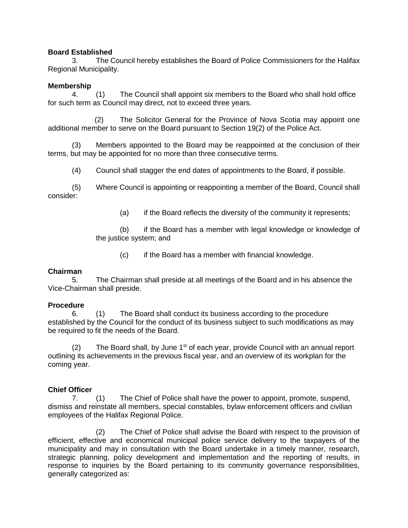# **Board Established**

3. The Council hereby establishes the Board of Police Commissioners for the Halifax Regional Municipality.

## **Membership**

4. (1) The Council shall appoint six members to the Board who shall hold office for such term as Council may direct, not to exceed three years.

 (2) The Solicitor General for the Province of Nova Scotia may appoint one additional member to serve on the Board pursuant to Section 19(2) of the Police Act.

(3) Members appointed to the Board may be reappointed at the conclusion of their terms, but may be appointed for no more than three consecutive terms.

(4) Council shall stagger the end dates of appointments to the Board, if possible.

(5) Where Council is appointing or reappointing a member of the Board, Council shall consider:

(a) if the Board reflects the diversity of the community it represents;

(b) if the Board has a member with legal knowledge or knowledge of the justice system; and

(c) if the Board has a member with financial knowledge.

# **Chairman**

5. The Chairman shall preside at all meetings of the Board and in his absence the Vice-Chairman shall preside.

### **Procedure**

6. (1) The Board shall conduct its business according to the procedure established by the Council for the conduct of its business subject to such modifications as may be required to fit the needs of the Board.

 $(2)$  The Board shall, by June 1<sup>st</sup> of each year, provide Council with an annual report outlining its achievements in the previous fiscal year, and an overview of its workplan for the coming year.

# **Chief Officer**

7. (1) The Chief of Police shall have the power to appoint, promote, suspend, dismiss and reinstate all members, special constables, bylaw enforcement officers and civilian employees of the Halifax Regional Police.

(2) The Chief of Police shall advise the Board with respect to the provision of efficient, effective and economical municipal police service delivery to the taxpayers of the municipality and may in consultation with the Board undertake in a timely manner, research, strategic planning, policy development and implementation and the reporting of results, in response to inquiries by the Board pertaining to its community governance responsibilities, generally categorized as: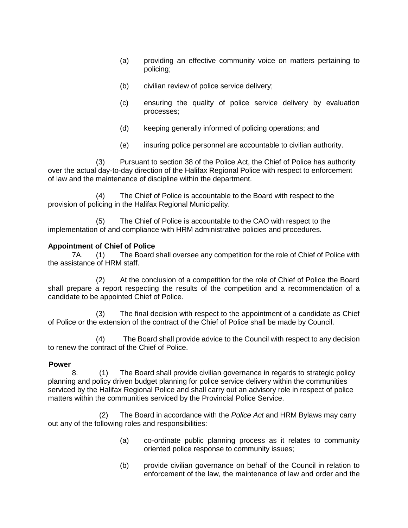- (a) providing an effective community voice on matters pertaining to policing;
- (b) civilian review of police service delivery;
- (c) ensuring the quality of police service delivery by evaluation processes;
- (d) keeping generally informed of policing operations; and
- (e) insuring police personnel are accountable to civilian authority.

(3) Pursuant to section 38 of the Police Act, the Chief of Police has authority over the actual day-to-day direction of the Halifax Regional Police with respect to enforcement of law and the maintenance of discipline within the department.

(4) The Chief of Police is accountable to the Board with respect to the provision of policing in the Halifax Regional Municipality.

(5) The Chief of Police is accountable to the CAO with respect to the implementation of and compliance with HRM administrative policies and procedures.

# **Appointment of Chief of Police**

7A. (1) The Board shall oversee any competition for the role of Chief of Police with the assistance of HRM staff.

(2) At the conclusion of a competition for the role of Chief of Police the Board shall prepare a report respecting the results of the competition and a recommendation of a candidate to be appointed Chief of Police.

(3) The final decision with respect to the appointment of a candidate as Chief of Police or the extension of the contract of the Chief of Police shall be made by Council.

(4) The Board shall provide advice to the Council with respect to any decision to renew the contract of the Chief of Police.

# **Power**

8. (1) The Board shall provide civilian governance in regards to strategic policy planning and policy driven budget planning for police service delivery within the communities serviced by the Halifax Regional Police and shall carry out an advisory role in respect of police matters within the communities serviced by the Provincial Police Service.

(2) The Board in accordance with the *Police Act* and HRM Bylaws may carry out any of the following roles and responsibilities:

- (a) co-ordinate public planning process as it relates to community oriented police response to community issues;
- (b) provide civilian governance on behalf of the Council in relation to enforcement of the law, the maintenance of law and order and the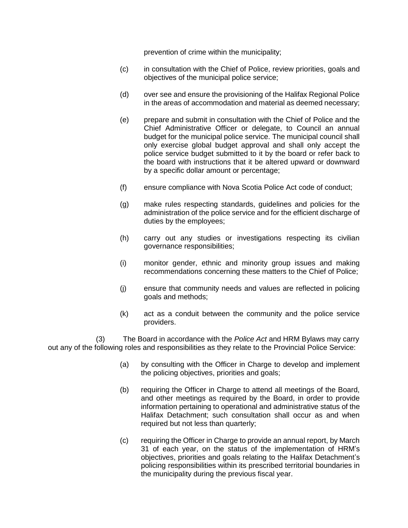prevention of crime within the municipality;

- (c) in consultation with the Chief of Police, review priorities, goals and objectives of the municipal police service;
- (d) over see and ensure the provisioning of the Halifax Regional Police in the areas of accommodation and material as deemed necessary;
- (e) prepare and submit in consultation with the Chief of Police and the Chief Administrative Officer or delegate, to Council an annual budget for the municipal police service. The municipal council shall only exercise global budget approval and shall only accept the police service budget submitted to it by the board or refer back to the board with instructions that it be altered upward or downward by a specific dollar amount or percentage;
- (f) ensure compliance with Nova Scotia Police Act code of conduct;
- (g) make rules respecting standards, guidelines and policies for the administration of the police service and for the efficient discharge of duties by the employees;
- (h) carry out any studies or investigations respecting its civilian governance responsibilities;
- (i) monitor gender, ethnic and minority group issues and making recommendations concerning these matters to the Chief of Police;
- (j) ensure that community needs and values are reflected in policing goals and methods;
- (k) act as a conduit between the community and the police service providers.

(3) The Board in accordance with the *Police Act* and HRM Bylaws may carry out any of the following roles and responsibilities as they relate to the Provincial Police Service:

- (a) by consulting with the Officer in Charge to develop and implement the policing objectives, priorities and goals;
- (b) requiring the Officer in Charge to attend all meetings of the Board, and other meetings as required by the Board, in order to provide information pertaining to operational and administrative status of the Halifax Detachment; such consultation shall occur as and when required but not less than quarterly;
- (c) requiring the Officer in Charge to provide an annual report, by March 31 of each year, on the status of the implementation of HRM's objectives, priorities and goals relating to the Halifax Detachment's policing responsibilities within its prescribed territorial boundaries in the municipality during the previous fiscal year.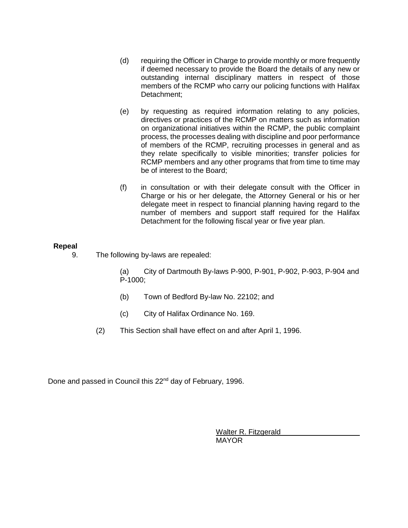- (d) requiring the Officer in Charge to provide monthly or more frequently if deemed necessary to provide the Board the details of any new or outstanding internal disciplinary matters in respect of those members of the RCMP who carry our policing functions with Halifax Detachment;
- (e) by requesting as required information relating to any policies, directives or practices of the RCMP on matters such as information on organizational initiatives within the RCMP, the public complaint process, the processes dealing with discipline and poor performance of members of the RCMP, recruiting processes in general and as they relate specifically to visible minorities; transfer policies for RCMP members and any other programs that from time to time may be of interest to the Board;
- (f) in consultation or with their delegate consult with the Officer in Charge or his or her delegate, the Attorney General or his or her delegate meet in respect to financial planning having regard to the number of members and support staff required for the Halifax Detachment for the following fiscal year or five year plan.

## **Repeal**

9. The following by-laws are repealed:

(a) City of Dartmouth By-laws P-900, P-901, P-902, P-903, P-904 and P-1000;

- (b) Town of Bedford By-law No. 22102; and
- (c) City of Halifax Ordinance No. 169.
- (2) This Section shall have effect on and after April 1, 1996.

Done and passed in Council this 22<sup>nd</sup> day of February, 1996.

Walter R. Fitzgerald MAYOR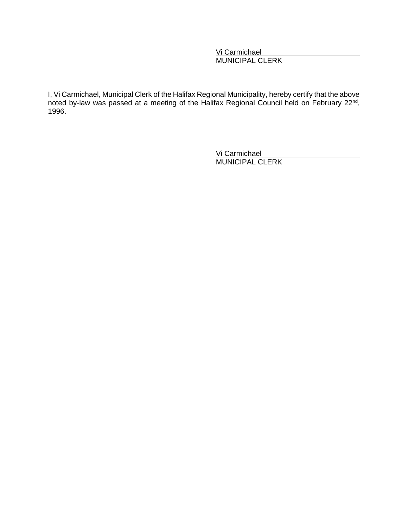Vi Carmichael MUNICIPAL CLERK

I, Vi Carmichael, Municipal Clerk of the Halifax Regional Municipality, hereby certify that the above noted by-law was passed at a meeting of the Halifax Regional Council held on February 22<sup>nd</sup>, 1996.

> Vi Carmichael MUNICIPAL CLERK